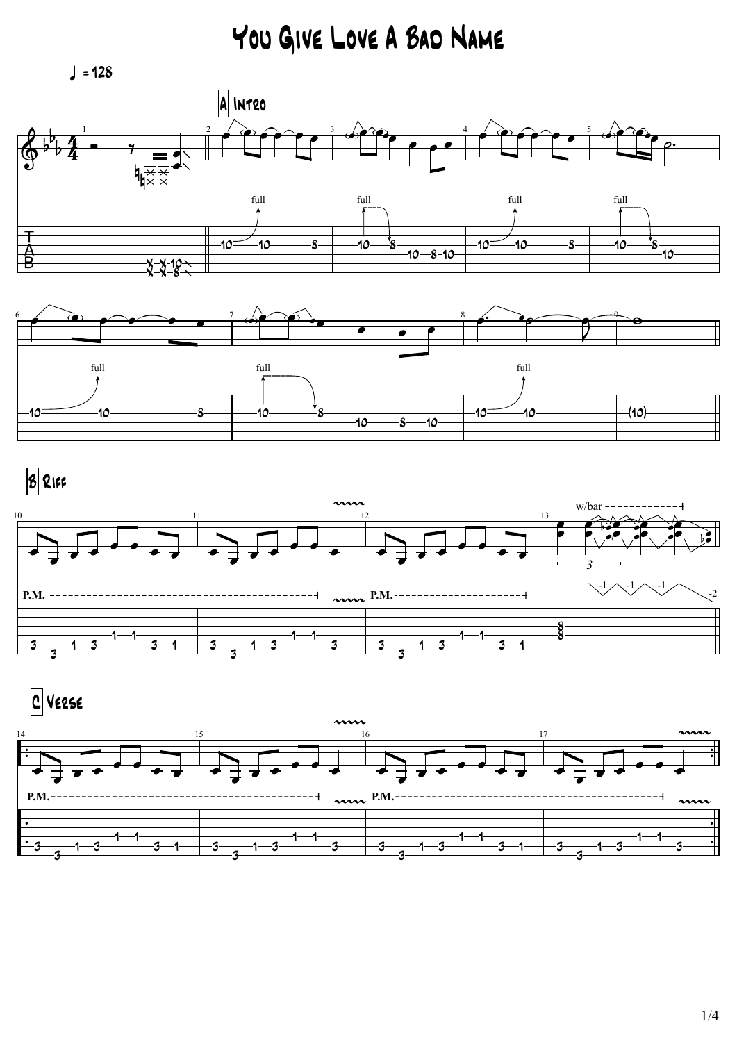You Give Love A Bad Name

 $\sqrt{ }$  = 128







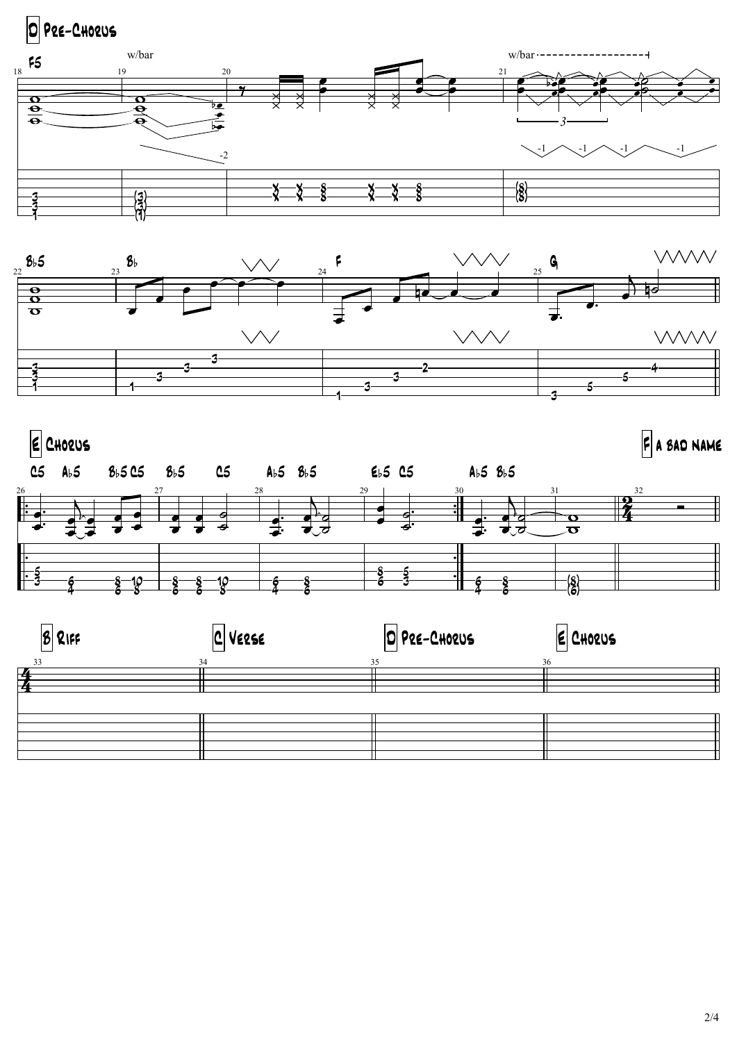

![](_page_1_Figure_1.jpeg)

![](_page_1_Figure_2.jpeg)

| $ 8 $ RIFF    | $ C $ Verse | O PRE-CHORUS | E CHORUS |  |
|---------------|-------------|--------------|----------|--|
| 33            | 34          | 35           | 36       |  |
| $\frac{2}{4}$ |             |              |          |  |
|               |             |              |          |  |
|               |             |              |          |  |
|               |             |              |          |  |
|               |             |              |          |  |
|               |             |              |          |  |
|               |             |              |          |  |
|               |             |              |          |  |
|               |             |              |          |  |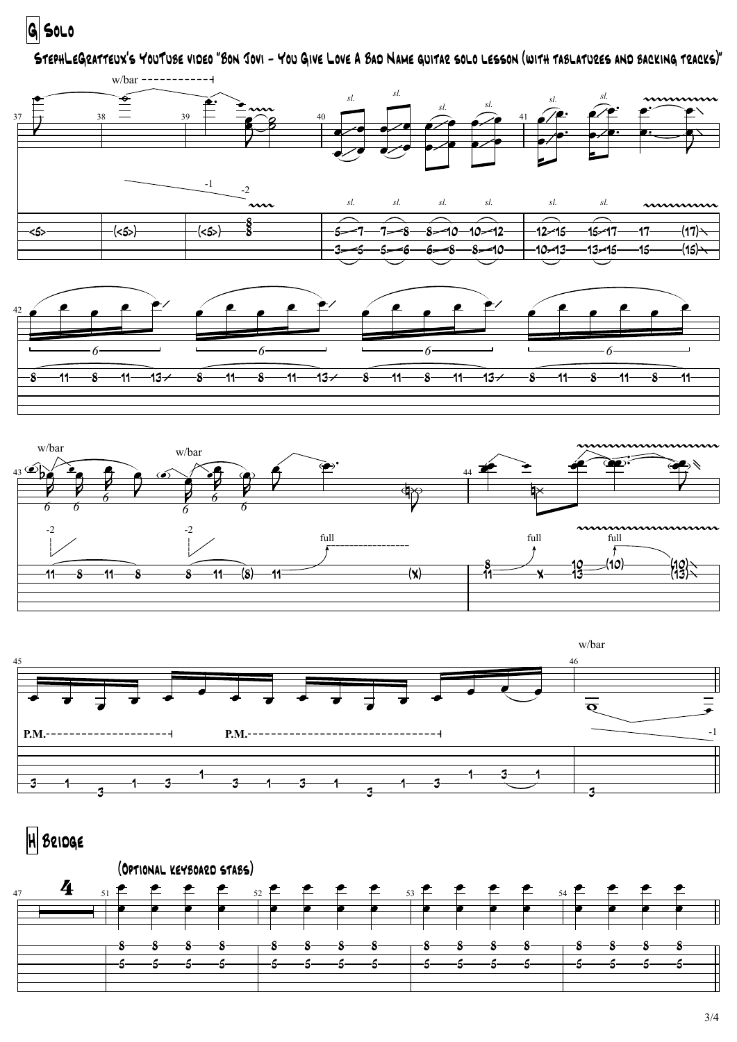G SOLO

StephLeGratteux's YouTube video "Bon Jovi - You Give Love A Bad Name guitar solo lesson (with tablatures and backing tracks)"

![](_page_2_Figure_2.jpeg)

![](_page_2_Figure_3.jpeg)

![](_page_2_Figure_4.jpeg)

![](_page_2_Figure_5.jpeg)

## H Bridge

![](_page_2_Figure_7.jpeg)